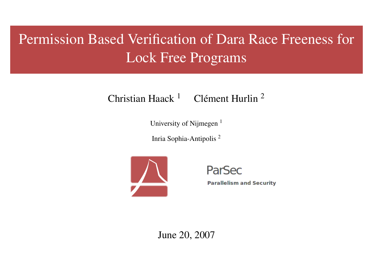# Permission Based Verification of Dara Race Freeness for Lock Free Programs

## Christian Haack  $1$  Clément Hurlin  $2$

University of Nijmegen<sup>1</sup>

Inria Sophia-Antipolis <sup>2</sup>



ParSec

**Parallelism and Security** 

June 20, 2007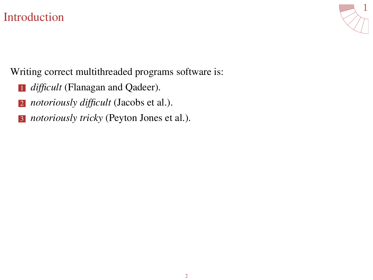## [Introduction](#page-1-0)

<span id="page-1-0"></span>

Writing correct multithreaded programs software is:

- **1** *difficult* (Flanagan and Qadeer).
- <sup>2</sup> *notoriously difficult* (Jacobs et al.).
- <sup>3</sup> *notoriously tricky* (Peyton Jones et al.).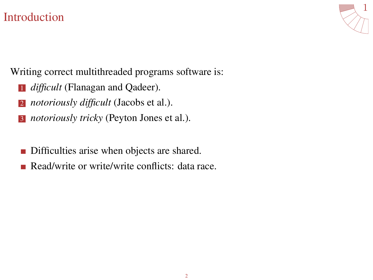## **[Introduction](#page-1-0)**



Writing correct multithreaded programs software is:

- **1** *difficult* (Flanagan and Qadeer).
- <sup>2</sup> *notoriously difficult* (Jacobs et al.).
- <sup>3</sup> *notoriously tricky* (Peyton Jones et al.).
- Difficulties arise when objects are shared. П
- Read/write or write/write conflicts: data race.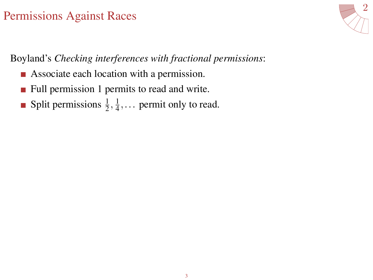<span id="page-3-0"></span>

Boyland's *Checking interferences with fractional permissions*:

- Associate each location with a permission.
- **Full permission 1 permits to read and write.**
- Split permissions  $\frac{1}{2}, \frac{1}{4}, \dots$  permit only to read.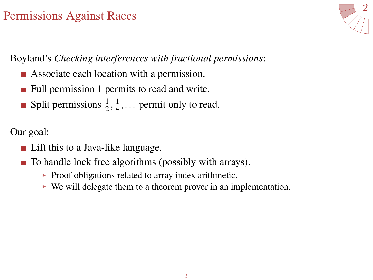

Boyland's *Checking interferences with fractional permissions*:

- Associate each location with a permission.
- Full permission 1 permits to read and write.
- Split permissions  $\frac{1}{2}, \frac{1}{4}, \dots$  permit only to read.

Our goal:

- Lift this to a Java-like language.
- To handle lock free algorithms (possibly with arrays).
	- $\triangleright$  Proof obligations related to array index arithmetic.
	- $\triangleright$  We will delegate them to a theorem prover in an implementation.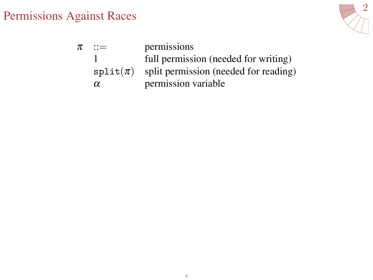

| $\pi$ | $\mathbf{C} =$ | permissions                           |
|-------|----------------|---------------------------------------|
|       |                | full permission (needed for writing)  |
|       | $split(\pi)$   | split permission (needed for reading) |
|       | $\alpha$       | permission variable                   |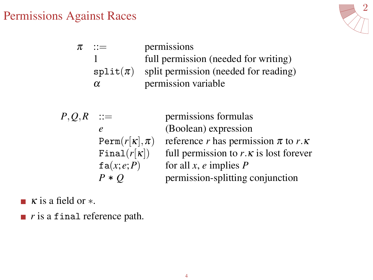

| π | $\mathbf{m}$ | permissions                           |
|---|--------------|---------------------------------------|
|   |              | full permission (needed for writing)  |
|   | $split(\pi)$ | split permission (needed for reading) |
|   | α            | permission variable                   |

$$
P,Q,R ::= \n\begin{array}{c}\n\text{per:} \\
e \quad (\text{Bc}) \\
\text{Perm}(r[k], \pi) \quad \text{ref} \\
\text{Final}(r[k]) \quad \text{full} \\
\text{fa}(x; e; P) \quad \text{for} \\
P * Q \quad \text{per.}\n\end{array}
$$

*P*,*Q*,*R* ::= permissions formulas *e* (boolean) expression  $r$  has permission  $π$  to  $r$ .κ permission to  $r \cdot \kappa$  is lost forever all  $x$ ,  $e$  implies  $P$ *P* mission-splitting conjunction

 $\blacksquare$   $\kappa$  is a field or  $\ast$ .

*r* is a final reference path.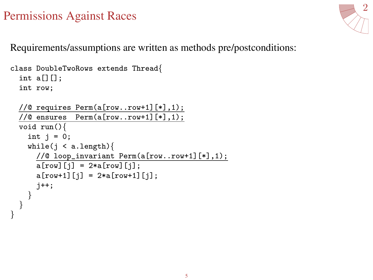}



Requirements/assumptions are written as methods pre/postconditions:

```
class DoubleTwoRows extends Thread{
  int a[][];
  int row;
  //@ requires Perm(a[row..row+1][*],1);
  //@ ensures Perm(a[row..row+1][*],1);
  void run(){
    int j = 0;
    while(j \lt a.length){
      //@ loop_invariant Perm(a[row..row+1][*],1);
      a[row][j] = 2*a[row][j];a[row+1][j] = 2*a[row+1][j];j++;
   }
  }
```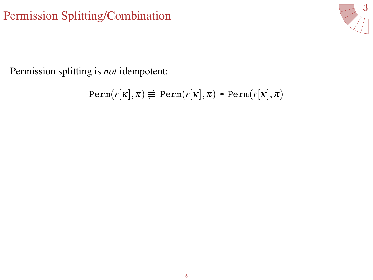# [Permission Splitting/Combination](#page-8-0)

<span id="page-8-0"></span>

Permission splitting is *not* idempotent:

$$
\texttt{Perm}(r[\kappa], \pi) \not\equiv \texttt{Perm}(r[\kappa], \pi) * \texttt{Perm}(r[\kappa], \pi)
$$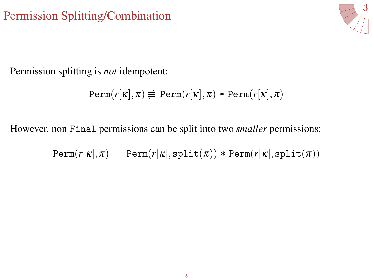# [Permission Splitting/Combination](#page-8-0)



Permission splitting is *not* idempotent:

$$
\texttt{Perm}(r[\kappa], \pi) \not\equiv \texttt{Perm}(r[\kappa], \pi) * \texttt{Perm}(r[\kappa], \pi)
$$

However, non Final permissions can be split into two *smaller* permissions:

$$
\texttt{Perm}(r[\kappa],\pi) \, \equiv \, \texttt{Perm}(r[\kappa],\texttt{split}(\pi)) * \texttt{Perm}(r[\kappa],\texttt{split}(\pi))
$$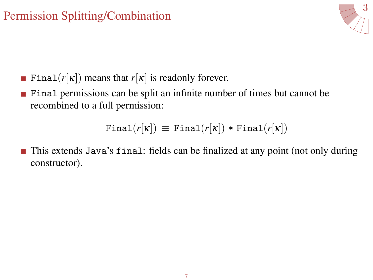# [Permission Splitting/Combination](#page-8-0)



- **Final**( $r[\kappa]$ ) means that  $r[\kappa]$  is readonly forever.
- Final permissions can be split an infinite number of times but cannot be recombined to a full permission:

 $\text{Final}(r[\kappa]) \equiv \text{Final}(r[\kappa]) * \text{Final}(r[\kappa])$ 

**This extends Java's final: fields can be finalized at any point (not only during** constructor).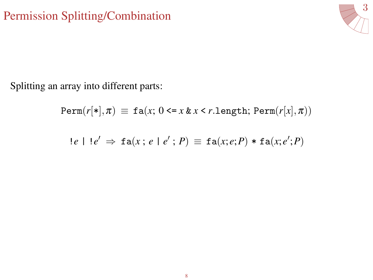

Splitting an array into different parts:

$$
\texttt{Perm}(r[*], \pi) \equiv \texttt{fa}(x; 0 \leq x \& x \leq r.\texttt{length}; \, \texttt{Perm}(r[x], \pi))
$$

$$
!e\vdash !e' \Rightarrow \mathtt{fa}(x; e\vdash e'; P) \equiv \mathtt{fa}(x; e; P) * \mathtt{fa}(x; e'; P)
$$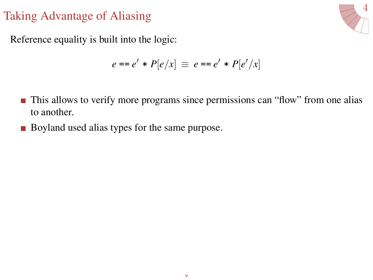<span id="page-12-0"></span>

Reference equality is built into the logic:

$$
e == e' * P[e/x] \equiv e == e' * P[e'/x]
$$

- **This allows to verify more programs since permissions can "flow" from one alias** to another.
- Boyland used alias types for the same purpose.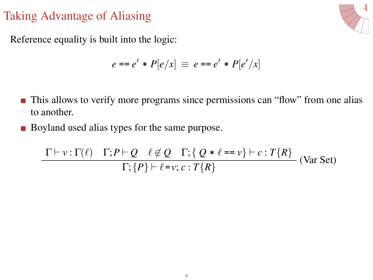

Reference equality is built into the logic:

$$
e == e' * P[e/x] \equiv e == e' * P[e'/x]
$$

- **This allows to verify more programs since permissions can "flow" from one alias** to another.
- Boyland used alias types for the same purpose.

$$
\frac{\Gamma \vdash v : \Gamma(\ell) \quad \Gamma; P \vdash Q \quad \ell \not\in Q \quad \Gamma; \{ Q * \ell == v \} \vdash c : T\{R\}}{\Gamma; \{P\} \vdash \ell = v; c : T\{R\}} \quad \text{(Var Set)}
$$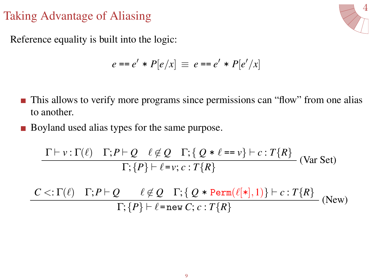$\overline{\phantom{a}}$ 



Reference equality is built into the logic:

$$
e == e' * P[e/x] \equiv e == e' * P[e'/x]
$$

- This allows to verify more programs since permissions can "flow" from one alias  $\blacksquare$ to another.
- Boyland used alias types for the same purpose.

$$
\frac{\Gamma \vdash v : \Gamma(\ell) \quad \Gamma; P \vdash Q \quad \ell \not\in Q \quad \Gamma; \{ Q * \ell == v \} \vdash c : T\{R\}}{\Gamma; \{P\} \vdash \ell = v; c : T\{R\}} \quad \text{(Var Set)}
$$

 $C <: \Gamma(\ell) \quad \Gamma; P \vdash Q \quad \ell \not\in Q \quad \Gamma; \{ Q \ast \texttt{Perm}(\ell[*,1)\} \vdash c : T\{R\} \ \Gamma; \{P\} \vdash \ell = \texttt{new } C; c : T\{R\}$  (New)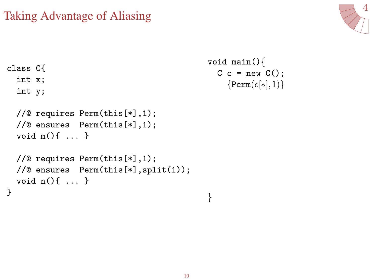

```
class C{
  int x;
  int y;
  //@ requires Perm(this[*],1);
  //@ ensures Perm(this[*],1);
  void m(){ ... }
  //@ requires Perm(this[*],1);
  //@ ensures Perm(this[*],split(1));
  void n(){ ... }
}
                                           void main(){
                                             C c = new C();
                                                {Perm(c[∗],1)}
                                           }
```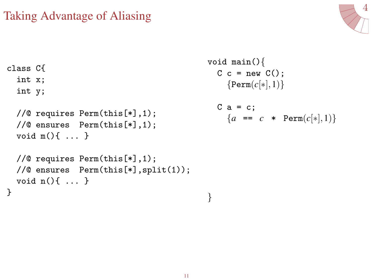

```
class C{
  int x;
  int y;
  //@ requires Perm(this[*],1);
  //@ ensures Perm(this[*],1);
  void m(){ ... }
  //@ requires Perm(this[*],1);
  //@ ensures Perm(this[*],split(1));
  void n(){ ... }
}
                                           void main(){
                                             C c = new C();
                                               {Perm(c[∗],1)}
                                             C a = c;
                                               {a = c * Perm(c[*], 1)}}
```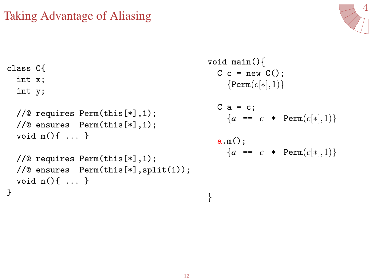

```
class C{
  int x;
  int y;
  //@ requires Perm(this[*],1);
  //@ ensures Perm(this[*],1);
  void m(){ ... }
  //@ requires Perm(this[*],1);
  //@ ensures Perm(this[*],split(1));
  void n(){ ... }
}
                                             void main(){
                                               C c = new C();
                                                  {Perm(c[∗],1)}
                                               C a = c;
                                                 {a = c * \text{Perm}(c[*], 1)}a.m();
                                                 {a = c * \text{Perm}(c[*], 1)}}
```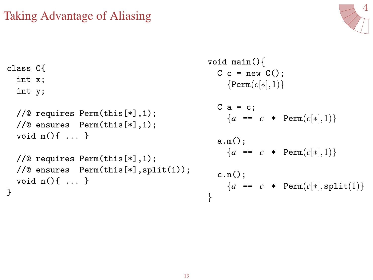

```
class C{
  int x;
  int y;
  //@ requires Perm(this[*],1);
  //@ ensures Perm(this[*],1);
  void m(){ ... }
  //@ requires Perm(this[*],1);
  //@ ensures Perm(this[*],split(1));
  void n(){ ... }
}
                                             void main(){
                                               C c = new C();
                                                 {Perm(c[∗],1)}
                                               C a = c;
                                                 {a = c * \text{Perm}(c[*], 1)}a.m();
                                                 {a = c * \text{Perm}(c[*], 1)}c.n();
                                                 {a = c * Perm(c[*], split(1))}}
```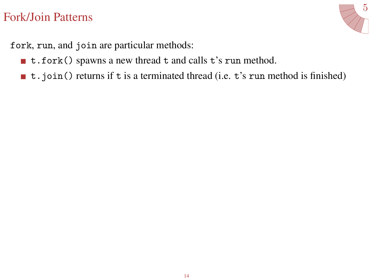<span id="page-19-0"></span>

fork, run, and join are particular methods:

- t.fork() spawns a new thread t and calls t's run method.
- $\blacksquare$  t.join() returns if t is a terminated thread (i.e. t's run method is finished)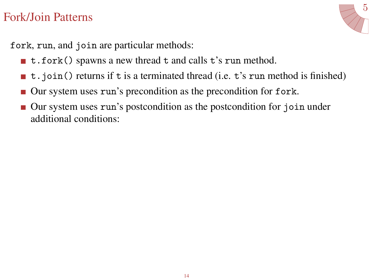

fork, run, and join are particular methods:

- t.fork() spawns a new thread t and calls t's run method.
- $\blacksquare$  t.join() returns if t is a terminated thread (i.e. t's run method is finished)
- Our system uses run's precondition as the precondition for fork.
- Our system uses run's postcondition as the postcondition for join under additional conditions: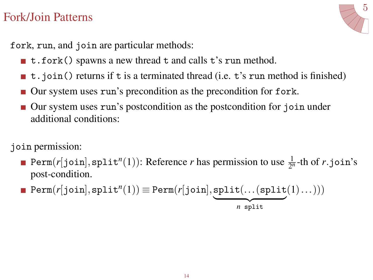

fork, run, and join are particular methods:

- t.fork() spawns a new thread t and calls t's run method.
- $\blacksquare$  t.join() returns if t is a terminated thread (i.e. t's run method is finished)
- Our system uses run's precondition as the precondition for fork.
- Our system uses run's postcondition as the postcondition for join under additional conditions:

join permission:

Perm( $r[join], \text{split}^n(1)$ ): Reference  $r$  has permission to use  $\frac{1}{2^n}$ -th of  $r.join$ 's post-condition.

$$
\blacksquare \texttt{Perm}(r[\texttt{join}], \texttt{split}^n(1)) \equiv \texttt{Perm}(r[\texttt{join}], \underbrace{\texttt{split}(\dots(\texttt{split}(1)\dots)))}_{n \text{ split}}
$$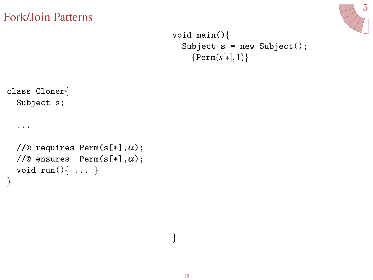

```
void main(){
  Subject s = new Subject();
    {Perm(s[∗],1)}
```

```
class Cloner{
  Subject s;
```
...

}

```
//@ requires Perm(s[*], \alpha);
//@ ensures Perm(s[*], \alpha);
void run()\{ \ldots \}
```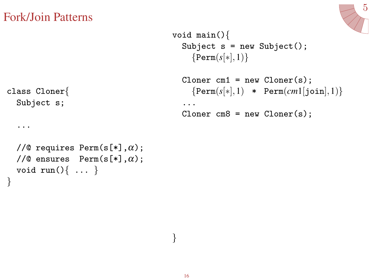

```
void main(){
  Subject s = new Subject();
    {Perm(s[*], 1)}
```

```
Cloner cm1 = new Cloner(s);
  {Perm(s[∗],1) * Perm(cm1[join],1)}
...
Cloner cm8 = new Cloner(s);
```

```
class Cloner{
  Subject s;
```
...

}

```
//@ requires Perm(s[*], \alpha);
//@ ensures Perm(s[*], \alpha);void run()\{ \ldots \}
```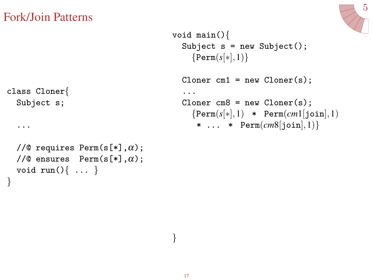class Cloner{



```
void main(){
  Subject s = new Subject();
    {Perm(s[*], 1)}Cloner cm1 = new Cloner(s);
  ...
  Cloner cm8 = new Cloner(s);
    {Perm(s[∗],1) * Perm(cm1[join],1)
     * ... * Perm(cm8[join],1)}
```

```
Subject s;
  ...
  //@ requires Perm(s[*], \alpha);
  //@ ensures Perm(s[*], \alpha);void run()\{ \ldots \}}
```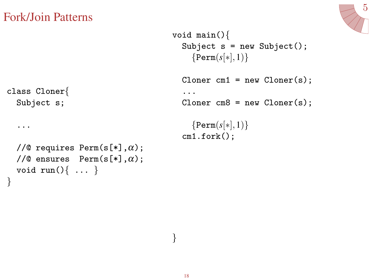

```
void main(){
  Subject s = new Subject();
    {Perm(s[*], 1)}Cloner cm1 = new Cloner(s);
  ...
  Cloner cm8 = new Cloner(s);
    {Perm(s[∗],1)}
  cm1.fork();
```

```
class Cloner{
  Subject s;
```
...

}

```
//@ requires Perm(s[*], \alpha);
//@ ensures Perm(s[*], \alpha);void run()\{ \ldots \}
```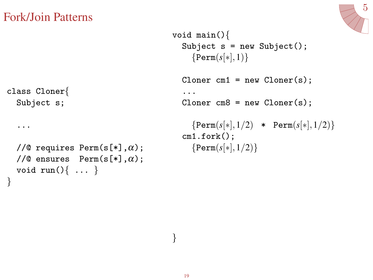

```
void main(){
  Subject s = new Subject();
    {Perm(s[*], 1)}Cloner cm1 = new Cloner(s);
  ...
  Cloner cm8 = new Cloner(s);
    {Perm(s[∗],1/2) * Perm(s[∗],1/2)}
  cm1.fork();
    {Perm(s[∗],1/2)}
```

```
class Cloner{
  Subject s;
```
...

}

```
//@ requires Perm(s[*], \alpha);
//@ ensures Perm(s[*], \alpha);void run()\{ \ldots \}
```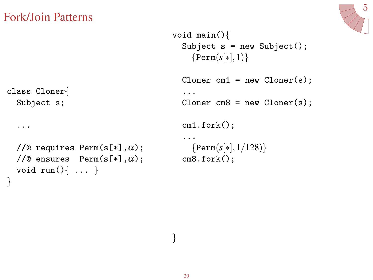

```
void main(){
  Subject s = new Subject();
    {Perm(s[*], 1)}Cloner cm1 = new Cloner(s);
  ...
  Cloner cm8 = new Cloner(s);
  cm1.fork();
  ...
    {Perm(s[∗],1/128)}
  cm8.fork();
```

```
class Cloner{
  Subject s;
```
...

}

```
//@ requires Perm(s[*],\alpha);
//@ ensures Perm(s[*], \alpha);
void run()\{ \ldots \}
```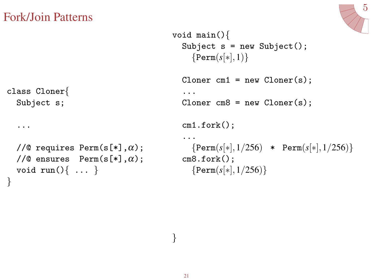

```
void main(){
  Subject s = new Subject();
    {Perm(s[*], 1)}Cloner cm1 = new Cloner(s);
  ...
  Cloner cm8 = new Cloner(s);
  cm1.fork();
  ...
    {Perm(s[∗],1/256) * Perm(s[∗],1/256)}
  cm8.fork();
    {Perm(s[∗],1/256)}
```

```
class Cloner{
  Subject s;
```
...

}

```
//@ requires Perm(s[*], \alpha);
//@ ensures Perm(s[*], \alpha);
void run()\{ \ldots \}
```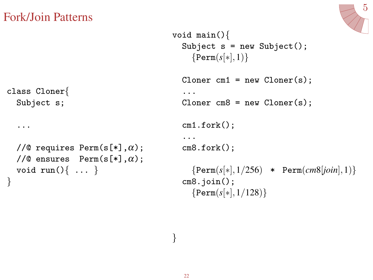

```
void main(){
  Subject s = new Subject();
    {Perm(s[∗],1)}
  Cloner cm1 = new Cloner(s);
  ...
  Cloner cm8 = new Cloner(s);
  cm1.fork();
  ...
  cm8.fork();
    {Perm(s[∗],1/256) * Perm(cm8[join],1)}
  cm8.join();
    {Perm(s[∗],1/128)}
```

```
class Cloner{
  Subject s;
```
...

}

```
//@ requires Perm(s[*], \alpha);
//@ ensures Perm(s[*], \alpha);void run()\{ \ldots \}
```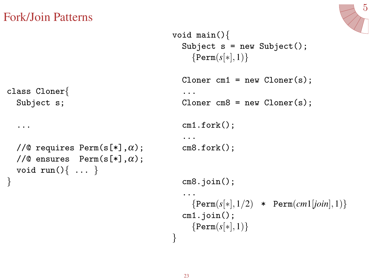

```
void main(){
  Subject s = new Subject();
    {Perm(s[∗],1)}
  Cloner cm1 = new Cloner(s);
  ...
  Cloner cm8 = new Cloner(s);
  cm1.fork();
  ...
  cm8.fork();
  cm8.join();
  ...
    {Perm(s[∗],1/2) * Perm(cm1[join],1)}
  cm1.join();
    {Perm(s[∗],1)}
}
```

```
class Cloner{
  Subject s;
```
...

```
//@ requires Perm(s[*], \alpha);
//@ ensures Perm(s[*], \alpha);void run()\{ \ldots \}
```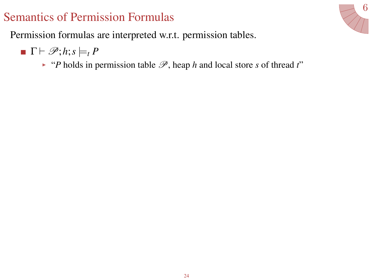<span id="page-31-0"></span>

Permission formulas are interpreted w.r.t. permission tables.

 $\blacksquare$   $\Gamma \vdash \mathscr{P}; h; s \models_t P$ 

 $\triangleright$  "*P* holds in permission table  $\mathcal{P}$ , heap *h* and local store *s* of thread *t*"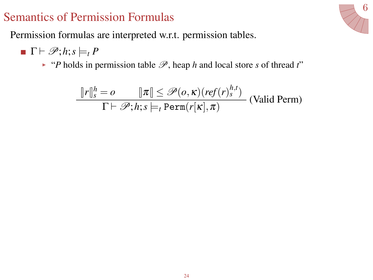

Permission formulas are interpreted w.r.t. permission tables.

- $\blacksquare$   $\Gamma \vdash \mathscr{P}; h; s \models_t P$ 
	- $\triangleright$  "*P* holds in permission table  $\mathcal{P}$ , heap *h* and local store *s* of thread *t*"

$$
\frac{\|r\|_{s}^{h} = o \qquad \|\pi\| \leq \mathcal{P}(o, \kappa)(ref(r)_{s}^{h,t})}{\Gamma \vdash \mathcal{P}; h; s \models_{t} \text{Perm}(r[\kappa], \pi)} \text{ (Valid Perm)}
$$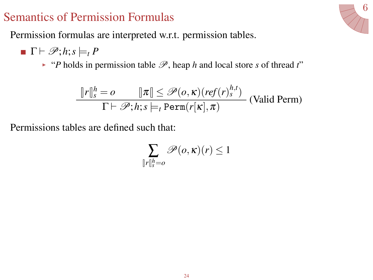6

Permission formulas are interpreted w.r.t. permission tables.

- $\blacksquare$   $\Gamma \vdash \mathscr{P}; h; s \models_t P$ 
	- $\rightarrow$  "*P* holds in permission table  $\mathcal{P}$ , heap *h* and local store *s* of thread *t*"

$$
\frac{\|r\|_{s}^{h} = o \quad \|\pi\| \leq \mathcal{P}(o, \kappa)(ref(r)_{s}^{h,t})}{\Gamma \vdash \mathcal{P}; h; s \models_{t} \text{Perm}(r[\kappa], \pi)} \text{ (Valid Perm)}
$$

Permissions tables are defined such that:

$$
\sum_{\|r\|_s^h=o}\mathscr{P}(o,\kappa)(r)\leq 1
$$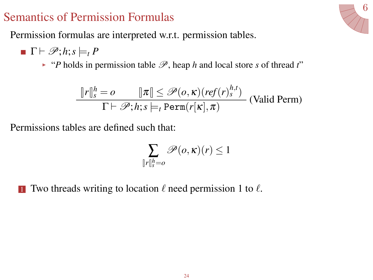Permission formulas are interpreted w.r.t. permission tables.

- $\Gamma \vdash \mathscr{P}; h; s \models_t P$ 
	- $\rightarrow$  "*P* holds in permission table  $\mathcal{P}$ , heap *h* and local store *s* of thread *t*"

$$
\frac{\|r\|_{s}^{h} = o \qquad \|\pi\| \leq \mathcal{P}(o, \kappa)(ref(r)_{s}^{h,t})}{\Gamma \vdash \mathcal{P}; h; s \models_{t} \text{Perm}(r[\kappa], \pi)} \text{ (Valid Perm)}
$$

Permissions tables are defined such that:

$$
\sum_{\|r\|_s^h=o}\mathscr{P}(o,\kappa)(r)\leq 1
$$

**1** Two threads writing to location  $\ell$  need permission 1 to  $\ell$ .

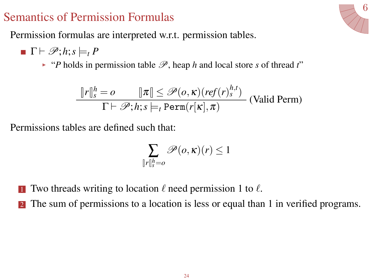6

Permission formulas are interpreted w.r.t. permission tables.

- $\Gamma \vdash \mathscr{P}; h; s \models_t P$ 
	- $\rightarrow$  "*P* holds in permission table  $\mathcal{P}$ , heap *h* and local store *s* of thread *t*"

$$
\frac{\|r\|_{s}^{h} = o \quad \|\pi\| \leq \mathcal{P}(o, \kappa)(ref(r)_{s}^{h,t})}{\Gamma \vdash \mathcal{P}; h; s \models_{t} \text{Perm}(r[\kappa], \pi)} \text{ (Valid Perm)}
$$

Permissions tables are defined such that:

$$
\sum_{r \parallel_s^h = o} \mathscr{P}(o, \kappa)(r) \le 1
$$

**1** Two threads writing to location  $\ell$  need permission 1 to  $\ell$ .

 $\int$ 

**2** The sum of permissions to a location is less or equal than 1 in verified programs.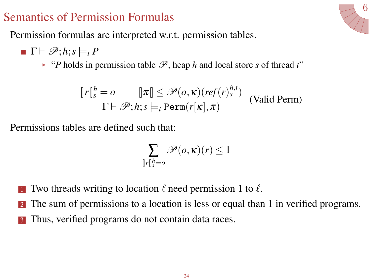Permission formulas are interpreted w.r.t. permission tables.

- $\Gamma \vdash \mathscr{P}; h; s \models_t P$ 
	- $\rightarrow$  "*P* holds in permission table  $\mathcal{P}$ , heap *h* and local store *s* of thread *t*"

$$
\frac{\|r\|_{s}^{h} = o \qquad \|\pi\| \leq \mathcal{P}(o, \kappa)(ref(r)_{s}^{h,t})}{\Gamma \vdash \mathcal{P}; h; s \models_{t} \text{Perm}(r[\kappa], \pi)} \text{ (Valid Perm)}
$$

Permissions tables are defined such that:

$$
\sum_{r \parallel_s^h = o} \mathscr{P}(o, \kappa)(r) \le 1
$$

**1** Two threads writing to location  $\ell$  need permission 1 to  $\ell$ .

 $\int$ 

- The sum of permissions to a location is less or equal than 1 in verified programs.
- <sup>3</sup> Thus, verified programs do not contain data races.